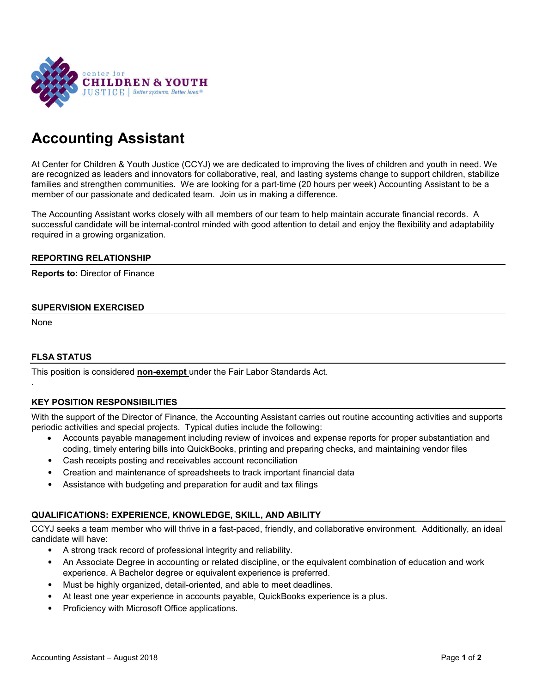

# **Accounting Assistant**

At Center for Children & Youth Justice (CCYJ) we are dedicated to improving the lives of children and youth in need. We are recognized as leaders and innovators for collaborative, real, and lasting systems change to support children, stabilize families and strengthen communities. We are looking for a part-time (20 hours per week) Accounting Assistant to be a member of our passionate and dedicated team. Join us in making a difference.

The Accounting Assistant works closely with all members of our team to help maintain accurate financial records. A successful candidate will be internal-control minded with good attention to detail and enjoy the flexibility and adaptability required in a growing organization.

#### **REPORTING RELATIONSHIP**

**Reports to:** Director of Finance

## **SUPERVISION EXERCISED**

None

.

# **FLSA STATUS**

This position is considered **non-exempt** under the Fair Labor Standards Act.

# **KEY POSITION RESPONSIBILITIES**

With the support of the Director of Finance, the Accounting Assistant carries out routine accounting activities and supports periodic activities and special projects. Typical duties include the following:

- Accounts payable management including review of invoices and expense reports for proper substantiation and coding, timely entering bills into QuickBooks, printing and preparing checks, and maintaining vendor files
- Cash receipts posting and receivables account reconciliation
- Creation and maintenance of spreadsheets to track important financial data
- Assistance with budgeting and preparation for audit and tax filings

# **QUALIFICATIONS: EXPERIENCE, KNOWLEDGE, SKILL, AND ABILITY**

CCYJ seeks a team member who will thrive in a fast-paced, friendly, and collaborative environment. Additionally, an ideal candidate will have:

- A strong track record of professional integrity and reliability.
- An Associate Degree in accounting or related discipline, or the equivalent combination of education and work experience. A Bachelor degree or equivalent experience is preferred.
- Must be highly organized, detail-oriented, and able to meet deadlines.
- At least one year experience in accounts payable, QuickBooks experience is a plus.
- Proficiency with Microsoft Office applications.